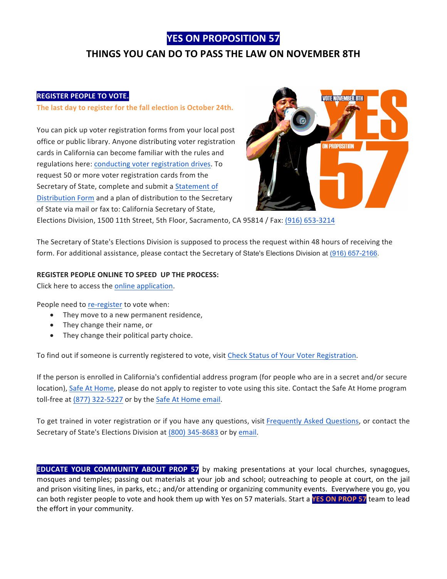## **YES ON PROPOSITION 57**

# **THINGS YOU CAN DO TO PASS THE LAW ON NOVEMBER 8TH**

### **REGISTER PEOPLE TO VOTE.**

The last day to register for the fall election is October 24th.

You can pick up voter registration forms from your local post office or public library. Anyone distributing voter registration cards in California can become familiar with the rules and regulations here: conducting voter registration drives. To request 50 or more voter registration cards from the Secretary of State, complete and submit a Statement of Distribution Form and a plan of distribution to the Secretary of State via mail or fax to: California Secretary of State,



Elections Division, 1500 11th Street, 5th Floor, Sacramento, CA 95814 / Fax: (916) 653-3214

The Secretary of State's Elections Division is supposed to process the request within 48 hours of receiving the form. For additional assistance, please contact the Secretary of State's Elections Division at (916) 657-2166.

### **REGISTER PEOPLE ONLINE TO SPEED UP THE PROCESS:**

Click here to access the online application.

People need to re-register to vote when:

- They move to a new permanent residence,
- They change their name, or
- They change their political party choice.

To find out if someone is currently registered to vote, visit Check Status of Your Voter Registration.

If the person is enrolled in California's confidential address program (for people who are in a secret and/or secure location), Safe At Home, please do not apply to register to vote using this site. Contact the Safe At Home program toll-free at  $(877)$  322-5227 or by the Safe At Home email.

To get trained in voter registration or if you have any questions, visit Frequently Asked Questions, or contact the Secretary of State's Elections Division at (800) 345-8683 or by email.

**EDUCATE YOUR COMMUNITY ABOUT PROP 57** by making presentations at your local churches, synagogues, mosques and temples; passing out materials at your job and school; outreaching to people at court, on the jail and prison visiting lines, in parks, etc.; and/or attending or organizing community events. Everywhere you go, you can both register people to vote and hook them up with Yes on 57 materials. Start a YES ON PROP 57 team to lead the effort in your community.